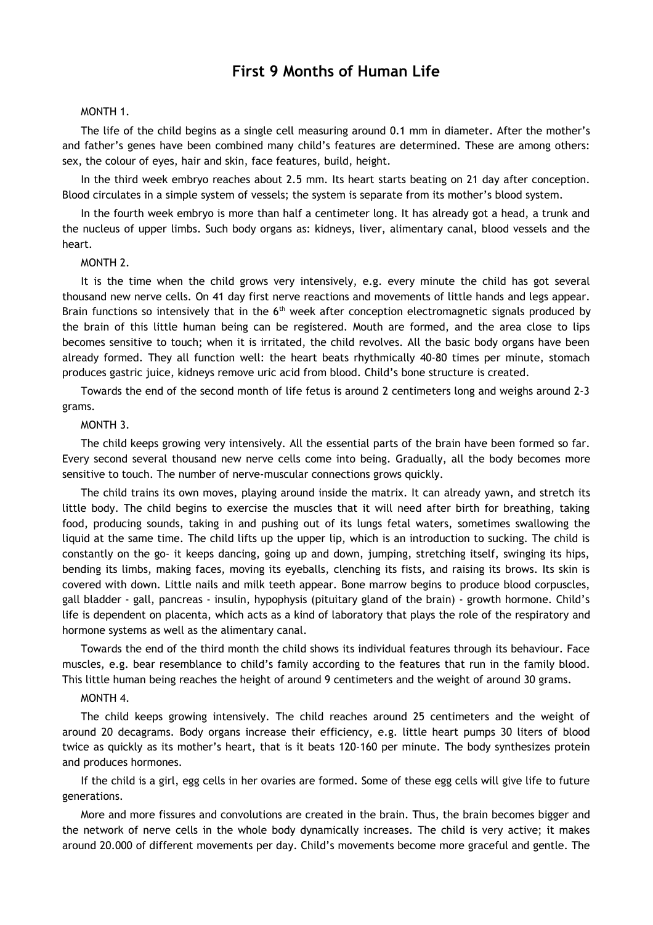# **First 9 Months of Human Life**

### MONTH 1.

The life of the child begins as a single cell measuring around 0.1 mm in diameter. After the mother's and father's genes have been combined many child's features are determined. These are among others: sex, the colour of eyes, hair and skin, face features, build, height.

In the third week embryo reaches about 2.5 mm. Its heart starts beating on 21 day after conception. Blood circulates in a simple system of vessels; the system is separate from its mother's blood system.

In the fourth week embryo is more than half a centimeter long. It has already got a head, a trunk and the nucleus of upper limbs. Such body organs as: kidneys, liver, alimentary canal, blood vessels and the heart.

#### MONTH 2.

It is the time when the child grows very intensively, e.g. every minute the child has got several thousand new nerve cells. On 41 day first nerve reactions and movements of little hands and legs appear. Brain functions so intensively that in the  $6<sup>th</sup>$  week after conception electromagnetic signals produced by the brain of this little human being can be registered. Mouth are formed, and the area close to lips becomes sensitive to touch; when it is irritated, the child revolves. All the basic body organs have been already formed. They all function well: the heart beats rhythmically 40-80 times per minute, stomach produces gastric juice, kidneys remove uric acid from blood. Child's bone structure is created.

Towards the end of the second month of life fetus is around 2 centimeters long and weighs around 2-3 grams.

#### MONTH 3.

The child keeps growing very intensively. All the essential parts of the brain have been formed so far. Every second several thousand new nerve cells come into being. Gradually, all the body becomes more sensitive to touch. The number of nerve-muscular connections grows quickly.

The child trains its own moves, playing around inside the matrix. It can already yawn, and stretch its little body. The child begins to exercise the muscles that it will need after birth for breathing, taking food, producing sounds, taking in and pushing out of its lungs fetal waters, sometimes swallowing the liquid at the same time. The child lifts up the upper lip, which is an introduction to sucking. The child is constantly on the go- it keeps dancing, going up and down, jumping, stretching itself, swinging its hips, bending its limbs, making faces, moving its eyeballs, clenching its fists, and raising its brows. Its skin is covered with down. Little nails and milk teeth appear. Bone marrow begins to produce blood corpuscles, gall bladder - gall, pancreas - insulin, hypophysis (pituitary gland of the brain) - growth hormone. Child's life is dependent on placenta, which acts as a kind of laboratory that plays the role of the respiratory and hormone systems as well as the alimentary canal.

Towards the end of the third month the child shows its individual features through its behaviour. Face muscles, e.g. bear resemblance to child's family according to the features that run in the family blood. This little human being reaches the height of around 9 centimeters and the weight of around 30 grams.

## MONTH 4.

The child keeps growing intensively. The child reaches around 25 centimeters and the weight of around 20 decagrams. Body organs increase their efficiency, e.g. little heart pumps 30 liters of blood twice as quickly as its mother's heart, that is it beats 120-160 per minute. The body synthesizes protein and produces hormones.

If the child is a girl, egg cells in her ovaries are formed. Some of these egg cells will give life to future generations.

More and more fissures and convolutions are created in the brain. Thus, the brain becomes bigger and the network of nerve cells in the whole body dynamically increases. The child is very active; it makes around 20.000 of different movements per day. Child's movements become more graceful and gentle. The